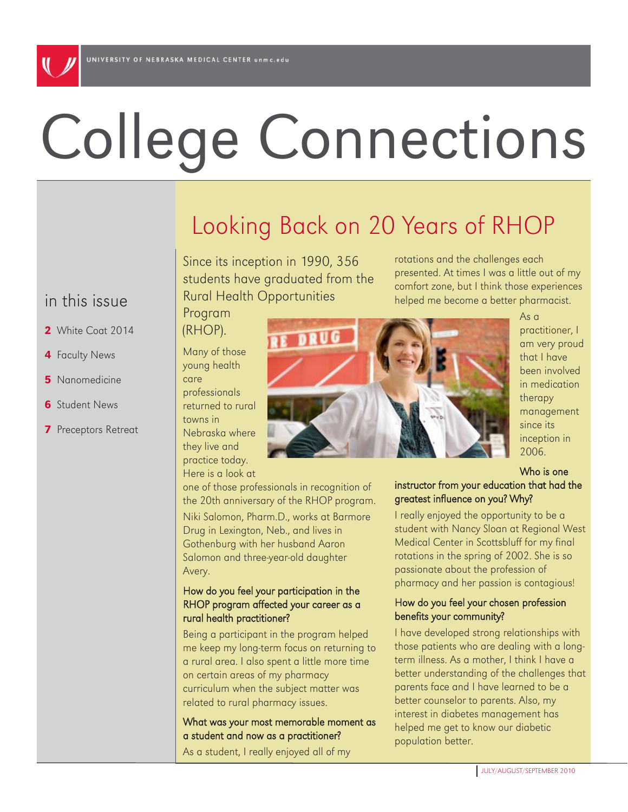# College Connections

# Looking Back on 20 Years of RHOP

Since its inception in 1990, 356 students have graduated from the Rural Health Opportunities

rotations and the challenges each presented. At times I was a little out of my comfort zone, but I think those experiences helped me become a better pharmacist.

## in this issue

- 2 White Coat 2014
- 4 Faculty News
- **5** Nanomedicine
- **6** Student News
- 7 Preceptors Retreat

(RHOP). Many of those young health care

Program

professionals returned to rural towns in Nebraska where they live and practice today. Here is a look at

one of those professionals in recognition of the 20th anniversary of the RHOP program. Niki Salomon, Pharm.D., works at Barmore Drug in Lexington, Neb., and lives in Gothenburg with her husband Aaron Salomon and three-year-old daughter Avery.

#### How do you feel your participation in the RHOP program affected your career as a rural health practitioner?

Being a participant in the program helped me keep my long-term focus on returning to a rural area. I also spent a little more time on certain areas of my pharmacy curriculum when the subject matter was related to rural pharmacy issues.

What was your most memorable moment as a student and now as a practitioner?

As a student, I really enjoyed all of my



As a practitioner, I am very proud that I have been involved in medication therapy management since its inception in 2006.

Who is one

instructor from your education that had the greatest influence on you? Why?

I really enjoyed the opportunity to be a student with Nancy Sloan at Regional West Medical Center in Scottsbluff for my final rotations in the spring of 2002. She is so passionate about the profession of pharmacy and her passion is contagious!

#### How do you feel your chosen profession benefits your community?

I have developed strong relationships with those patients who are dealing with a longterm illness. As a mother, I think I have a better understanding of the challenges that parents face and I have learned to be a better counselor to parents. Also, my interest in diabetes management has helped me get to know our diabetic population better.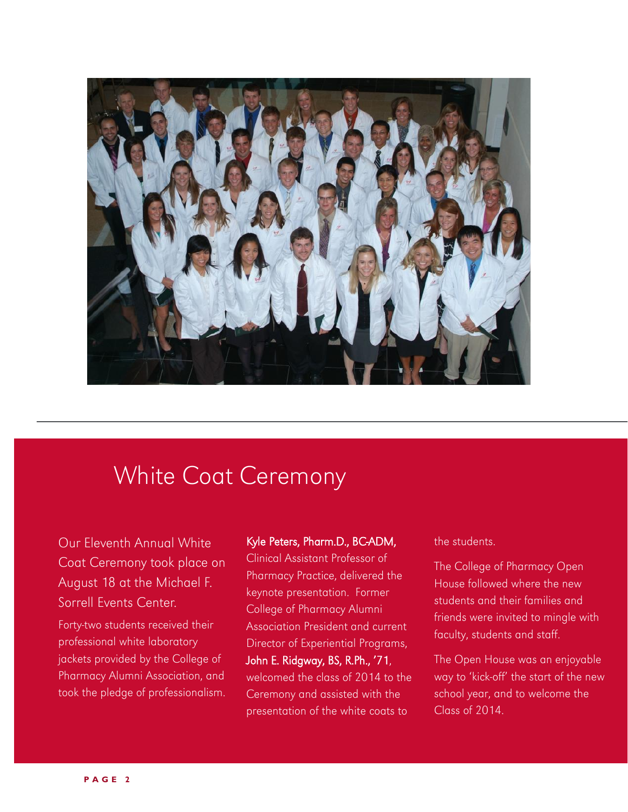

## White Coat Ceremony

Our Eleventh Annual White Coat Ceremony took place on August 18 at the Michael F. Sorrell Events Center.

Forty-two students received their professional white laboratory jackets provided by the College of Pharmacy Alumni Association, and took the pledge of professionalism.

#### Kyle Peters, Pharm.D., BC-ADM,

Clinical Assistant Professor of Pharmacy Practice, delivered the keynote presentation. Former College of Pharmacy Alumni Association President and current Director of Experiential Programs, John E. Ridgway, BS, R.Ph., "71, welcomed the class of 2014 to the Ceremony and assisted with the presentation of the white coats to

the students.

The College of Pharmacy Open House followed where the new students and their families and friends were invited to mingle with faculty, students and staff.

The Open House was an enjoyable way to "kick-off" the start of the new school year, and to welcome the Class of 2014.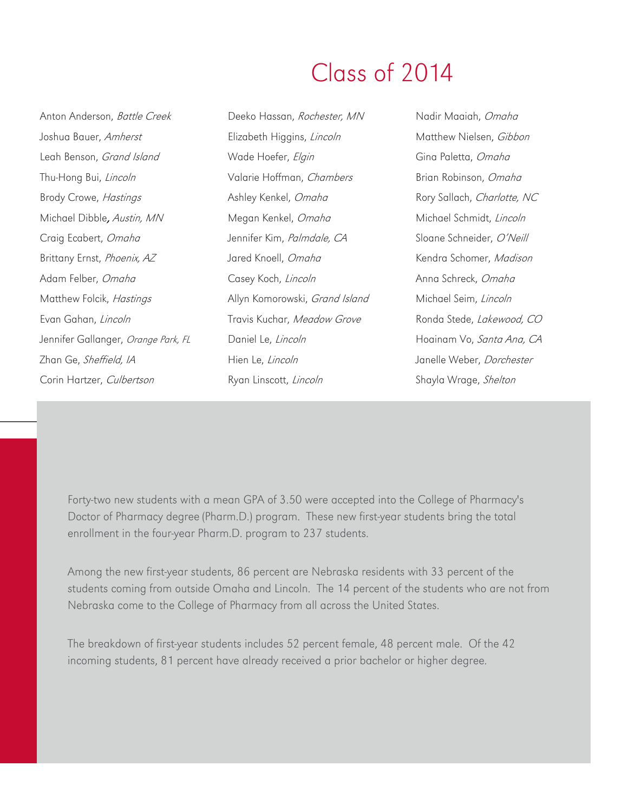## Class of 2014

Anton Anderson, Battle Creek Joshua Bauer, Amherst Leah Benson, Grand Island Thu-Hong Bui, Lincoln Brody Crowe, Hastings Michael Dibble, Austin, MN Craig Ecabert, Omaha Brittany Ernst, Phoenix, AZ Adam Felber, Omaha Matthew Folcik, Hastings Evan Gahan, Lincoln Jennifer Gallanger, Orange Park, FL Zhan Ge, Sheffield, IA Corin Hartzer, Culbertson

Deeko Hassan, Rochester, MN Elizabeth Higgins, Lincoln Wade Hoefer, Elgin Valarie Hoffman, Chambers Ashley Kenkel, Omaha Megan Kenkel, Omaha Jennifer Kim, Palmdale, CA Jared Knoell, Omaha Casey Koch, Lincoln Allyn Komorowski, Grand Island Travis Kuchar, Meadow Grove Daniel Le, Lincoln Hien Le, Lincoln Ryan Linscott, Lincoln

Nadir Maaiah, Omaha Matthew Nielsen, Gibbon Gina Paletta, Omaha Brian Robinson, Omaha Rory Sallach, Charlotte, NC Michael Schmidt, Lincoln Sloane Schneider, O"Neill Kendra Schomer, Madison Anna Schreck, Omaha Michael Seim, Lincoln Ronda Stede, Lakewood, CO Hoainam Vo, Santa Ana, CA Janelle Weber, Dorchester Shayla Wrage, Shelton

Forty-two new students with a mean GPA of 3.50 were accepted into the College of Pharmacy's Doctor of Pharmacy degree (Pharm.D.) program. These new first-year students bring the total enrollment in the four-year Pharm.D. program to 237 students.

Among the new first-year students, 86 percent are Nebraska residents with 33 percent of the students coming from outside Omaha and Lincoln. The 14 percent of the students who are not from Nebraska come to the College of Pharmacy from all across the United States.

The breakdown of first-year students includes 52 percent female, 48 percent male. Of the 42 incoming students, 81 percent have already received a prior bachelor or higher degree.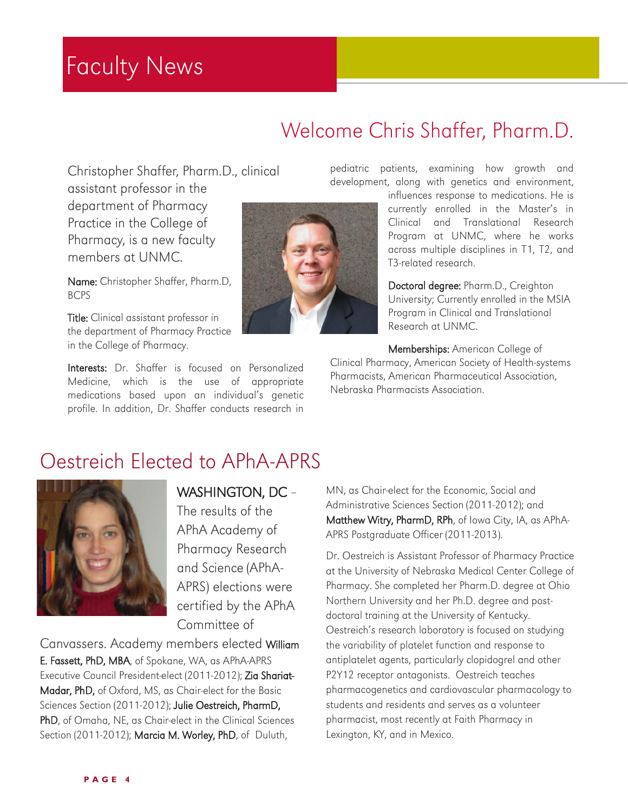## Faculty News

## Welcome Chris Shaffer, Pharm.D.

Christopher Shaffer, Pharm.D., clinical

assistant professor in the department of Pharmacy Practice in the College of Pharmacy, is a new faculty members at UNMC.

Name: Christopher Shaffer, Pharm.D, BCPS

Title: Clinical assistant professor in the department of Pharmacy Practice in the College of Pharmacy.

Interests: Dr. Shaffer is focused on Personalized Medicine, which is the use of appropriate medications based upon an individual's genetic profile. In addition, Dr. Shaffer conducts research in



pediatric patients, examining how growth and development, along with genetics and environment,

influences response to medications. He is currently enrolled in the Master's in Clinical and Translational Research Program at UNMC, where he works across multiple disciplines in T1, T2, and T3-related research.

Doctoral degree: Pharm.D., Creighton University; Currently enrolled in the MSIA Program in Clinical and Translational Research at UNMC.

Memberships: American College of Clinical Pharmacy, American Society of Health-systems Pharmacists, American Pharmaceutical Association, Nebraska Pharmacists Association.

## Oestreich Elected to APhA-APRS



## WASHINGTON, DC –

The results of the APhA Academy of Pharmacy Research and Science (APhA-APRS) elections were certified by the APhA Committee of

Canvassers. Academy members elected William E. Fassett, PhD, MBA, of Spokane, WA, as APhA-APRS Executive Council President-elect (2011-2012); Zia Shariat-Madar, PhD, of Oxford, MS, as Chair-elect for the Basic Sciences Section (2011-2012); Julie Oestreich, PharmD, PhD, of Omaha, NE, as Chair-elect in the Clinical Sciences Section (2011-2012); Marcia M. Worley, PhD, of Duluth,

MN, as Chair-elect for the Economic, Social and Administrative Sciences Section (2011-2012); and Matthew Witry, PharmD, RPh, of Iowa City, IA, as APhA-APRS Postgraduate Officer (2011-2013).

Dr. Oestreich is Assistant Professor of Pharmacy Practice at the University of Nebraska Medical Center College of Pharmacy. She completed her Pharm.D. degree at Ohio Northern University and her Ph.D. degree and postdoctoral training at the University of Kentucky. Oestreich's research laboratory is focused on studying the variability of platelet function and response to antiplatelet agents, particularly clopidogrel and other P2Y12 receptor antagonists. Oestreich teaches pharmacogenetics and cardiovascular pharmacology to students and residents and serves as a volunteer pharmacist, most recently at Faith Pharmacy in Lexington, KY, and in Mexico.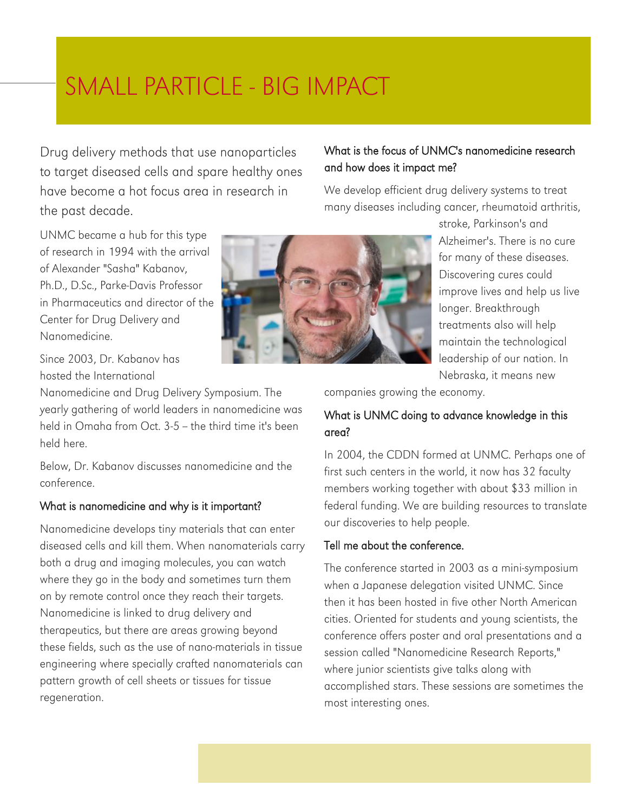# SMALL PARTICLE - BIG IMPACT

Drug delivery methods that use nanoparticles to target diseased cells and spare healthy ones have become a hot focus area in research in the past decade.

#### What is the focus of UNMC's nanomedicine research and how does it impact me?

We develop efficient drug delivery systems to treat many diseases including cancer, rheumatoid arthritis,

UNMC became a hub for this type of research in 1994 with the arrival of Alexander "Sasha" Kabanov, Ph.D., D.Sc., Parke-Davis Professor in Pharmaceutics and director of the Center for Drug Delivery and Nanomedicine.

Since 2003, Dr. Kabanov has hosted the International

Nanomedicine and Drug Delivery Symposium. The yearly gathering of world leaders in nanomedicine was held in Omaha from Oct. 3-5 -- the third time it's been held here.

Below, Dr. Kabanov discusses nanomedicine and the conference.

#### What is nanomedicine and why is it important?

Nanomedicine develops tiny materials that can enter diseased cells and kill them. When nanomaterials carry both a drug and imaging molecules, you can watch where they go in the body and sometimes turn them on by remote control once they reach their targets. Nanomedicine is linked to drug delivery and therapeutics, but there are areas growing beyond these fields, such as the use of nano-materials in tissue engineering where specially crafted nanomaterials can pattern growth of cell sheets or tissues for tissue regeneration.



stroke, Parkinson's and Alzheimer's. There is no cure for many of these diseases. Discovering cures could improve lives and help us live longer. Breakthrough treatments also will help maintain the technological leadership of our nation. In Nebraska, it means new

companies growing the economy.

## What is UNMC doing to advance knowledge in this area?

In 2004, the CDDN formed at UNMC. Perhaps one of first such centers in the world, it now has 32 faculty members working together with about \$33 million in federal funding. We are building resources to translate our discoveries to help people.

#### Tell me about the conference.

The conference started in 2003 as a mini-symposium when a Japanese delegation visited UNMC. Since then it has been hosted in five other North American cities. Oriented for students and young scientists, the conference offers poster and oral presentations and a session called "Nanomedicine Research Reports," where junior scientists give talks along with accomplished stars. These sessions are sometimes the most interesting ones.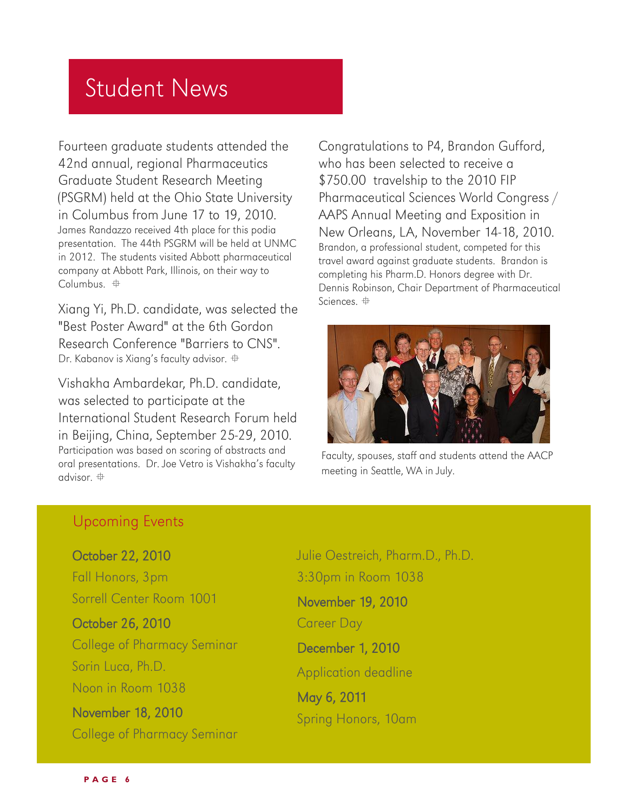## Student News

Fourteen graduate students attended the 42nd annual, regional Pharmaceutics Graduate Student Research Meeting (PSGRM) held at the Ohio State University in Columbus from June 17 to 19, 2010. James Randazzo received 4th place for this podia presentation. The 44th PSGRM will be held at UNMC in 2012. The students visited Abbott pharmaceutical company at Abbott Park, Illinois, on their way to Columbus.  $\oplus$ 

Xiang Yi, Ph.D. candidate, was selected the "Best Poster Award" at the 6th Gordon Research Conference "Barriers to CNS". Dr. Kabanov is Xiang's faculty advisor.  $\oplus$ 

Vishakha Ambardekar, Ph.D. candidate, was selected to participate at the International Student Research Forum held in Beijing, China, September 25-29, 2010. Participation was based on scoring of abstracts and oral presentations. Dr. Joe Vetro is Vishakha"s faculty advisor.

Congratulations to P4, Brandon Gufford, who has been selected to receive a \$750.00 travelship to the 2010 FIP Pharmaceutical Sciences World Congress / AAPS Annual Meeting and Exposition in New Orleans, LA, November 14-18, 2010. Brandon, a professional student, competed for this travel award against graduate students. Brandon is completing his Pharm.D. Honors degree with Dr. Dennis Robinson, Chair Department of Pharmaceutical Sciences.



Faculty, spouses, staff and students attend the AACP meeting in Seattle, WA in July.

## Upcoming Events

October 22, 2010 Fall Honors, 3pm Sorrell Center Room 1001

October 26, 2010 College of Pharmacy Seminar Sorin Luca, Ph.D. Noon in Room 1038

November 18, 2010 College of Pharmacy Seminar Julie Oestreich, Pharm.D., Ph.D. 3:30pm in Room 1038 November 19, 2010 Career Day December 1, 2010 Application deadline May 6, 2011 Spring Honors, 10am